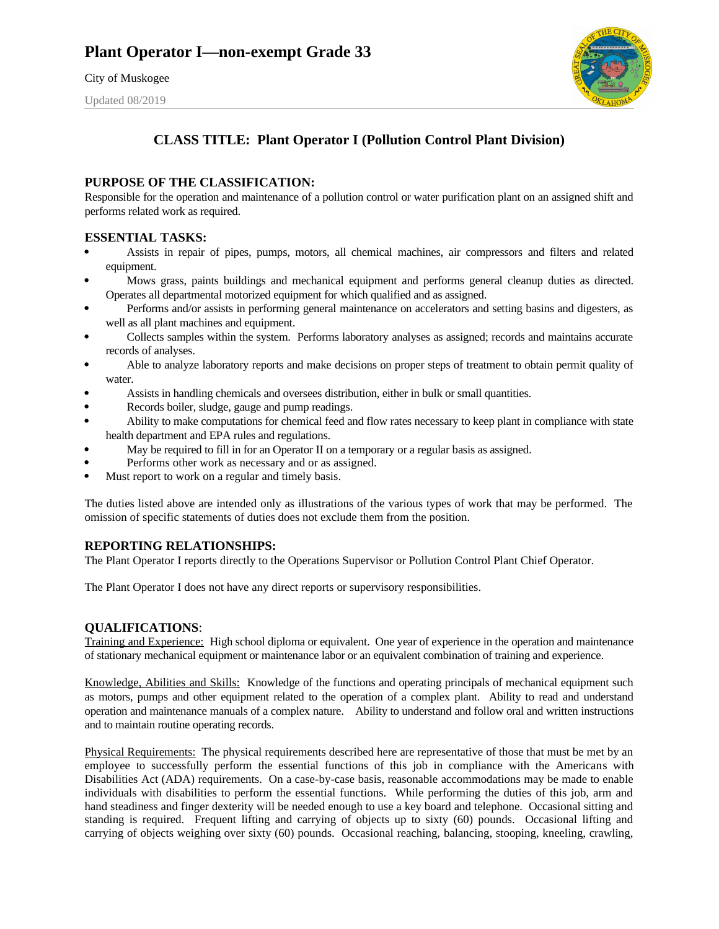City of Muskogee

Updated 08/2019



## **CLASS TITLE: Plant Operator I (Pollution Control Plant Division)**

### **PURPOSE OF THE CLASSIFICATION:**

Responsible for the operation and maintenance of a pollution control or water purification plant on an assigned shift and performs related work as required.

### **ESSENTIAL TASKS:**

- Assists in repair of pipes, pumps, motors, all chemical machines, air compressors and filters and related equipment.
- Mows grass, paints buildings and mechanical equipment and performs general cleanup duties as directed. Operates all departmental motorized equipment for which qualified and as assigned.
- Performs and/or assists in performing general maintenance on accelerators and setting basins and digesters, as well as all plant machines and equipment.
- Collects samples within the system. Performs laboratory analyses as assigned; records and maintains accurate records of analyses.
- Able to analyze laboratory reports and make decisions on proper steps of treatment to obtain permit quality of water.
- Assists in handling chemicals and oversees distribution, either in bulk or small quantities.
- Records boiler, sludge, gauge and pump readings.
- Ability to make computations for chemical feed and flow rates necessary to keep plant in compliance with state health department and EPA rules and regulations.
- May be required to fill in for an Operator II on a temporary or a regular basis as assigned.
- Performs other work as necessary and or as assigned.
- Must report to work on a regular and timely basis.

The duties listed above are intended only as illustrations of the various types of work that may be performed. The omission of specific statements of duties does not exclude them from the position.

### **REPORTING RELATIONSHIPS:**

The Plant Operator I reports directly to the Operations Supervisor or Pollution Control Plant Chief Operator.

The Plant Operator I does not have any direct reports or supervisory responsibilities.

### **QUALIFICATIONS**:

Training and Experience: High school diploma or equivalent. One year of experience in the operation and maintenance of stationary mechanical equipment or maintenance labor or an equivalent combination of training and experience.

Knowledge, Abilities and Skills: Knowledge of the functions and operating principals of mechanical equipment such as motors, pumps and other equipment related to the operation of a complex plant. Ability to read and understand operation and maintenance manuals of a complex nature. Ability to understand and follow oral and written instructions and to maintain routine operating records.

Physical Requirements: The physical requirements described here are representative of those that must be met by an employee to successfully perform the essential functions of this job in compliance with the Americans with Disabilities Act (ADA) requirements. On a case-by-case basis, reasonable accommodations may be made to enable individuals with disabilities to perform the essential functions. While performing the duties of this job, arm and hand steadiness and finger dexterity will be needed enough to use a key board and telephone. Occasional sitting and standing is required. Frequent lifting and carrying of objects up to sixty (60) pounds. Occasional lifting and carrying of objects weighing over sixty (60) pounds. Occasional reaching, balancing, stooping, kneeling, crawling,